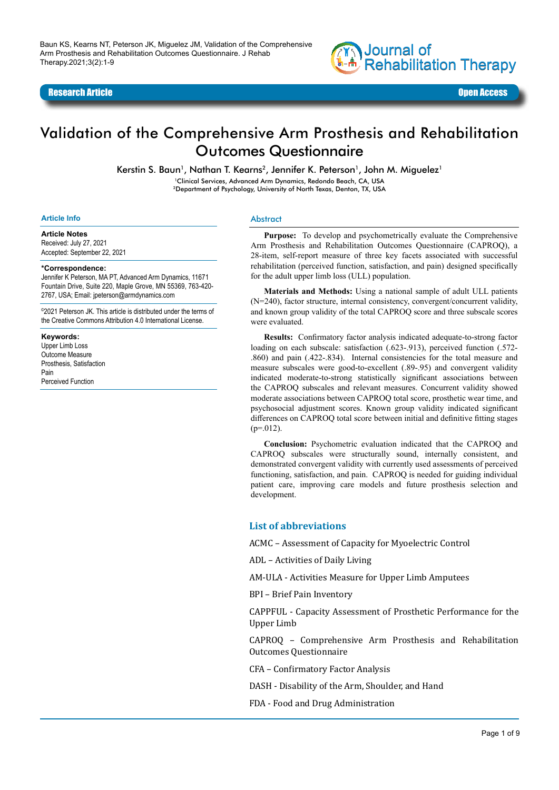

Research Article Open Access



# Validation of the Comprehensive Arm Prosthesis and Rehabilitation Outcomes Questionnaire

Kerstin S. Baun<sup>1</sup>, Nathan T. Kearns<sup>2</sup>, Jennifer K. Peterson<sup>1</sup>, John M. Miquelez<sup>1</sup>

1Clinical Services, Advanced Arm Dynamics, Redondo Beach, CA, USA

2Department of Psychology, University of North Texas, Denton, TX, USA

#### **Article Info**

#### **Article Notes**

Received: July 27, 2021 Accepted: September 22, 2021

#### **\*Correspondence:**

Jennifer K Peterson, MA PT, Advanced Arm Dynamics, 11671 Fountain Drive, Suite 220, Maple Grove, MN 55369, 763-420- 2767, USA; Email: jpeterson@armdynamics.com

©2021 Peterson JK. This article is distributed under the terms of the Creative Commons Attribution 4.0 International License.

#### **Keywords:**

Upper Limb Loss Outcome Measure Prosthesis, Satisfaction Pain Perceived Function

#### Abstract

**Purpose:** To develop and psychometrically evaluate the Comprehensive Arm Prosthesis and Rehabilitation Outcomes Questionnaire (CAPROQ), a 28-item, self-report measure of three key facets associated with successful rehabilitation (perceived function, satisfaction, and pain) designed specifically for the adult upper limb loss (ULL) population.

**Materials and Methods:** Using a national sample of adult ULL patients (N=240), factor structure, internal consistency, convergent/concurrent validity, and known group validity of the total CAPROQ score and three subscale scores were evaluated.

**Results:** Confirmatory factor analysis indicated adequate-to-strong factor loading on each subscale: satisfaction (.623-.913), perceived function (.572-.860) and pain (.422-.834). Internal consistencies for the total measure and measure subscales were good-to-excellent (.89-.95) and convergent validity indicated moderate-to-strong statistically significant associations between the CAPROQ subscales and relevant measures. Concurrent validity showed moderate associations between CAPROQ total score, prosthetic wear time, and psychosocial adjustment scores. Known group validity indicated significant differences on CAPROQ total score between initial and definitive fitting stages  $(p=012)$ .

**Conclusion:** Psychometric evaluation indicated that the CAPROQ and CAPROQ subscales were structurally sound, internally consistent, and demonstrated convergent validity with currently used assessments of perceived functioning, satisfaction, and pain. CAPROQ is needed for guiding individual patient care, improving care models and future prosthesis selection and development.

#### **List of abbreviations**

ACMC – Assessment of Capacity for Myoelectric Control

ADL – Activities of Daily Living

AM-ULA - Activities Measure for Upper Limb Amputees

BPI – Brief Pain Inventory

CAPPFUL - Capacity Assessment of Prosthetic Performance for the Upper Limb

CAPROQ – Comprehensive Arm Prosthesis and Rehabilitation Outcomes Questionnaire

CFA – Confirmatory Factor Analysis

DASH - Disability of the Arm, Shoulder, and Hand

FDA - Food and Drug Administration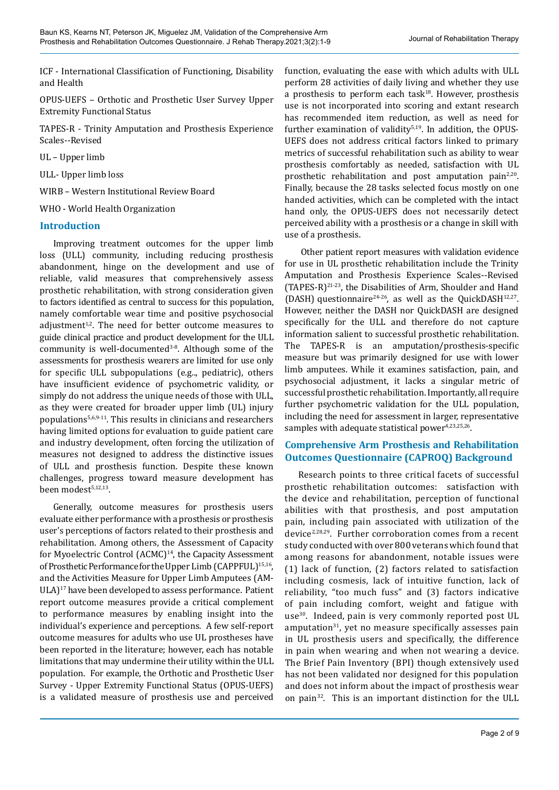ICF - International Classification of Functioning, Disability and Health

OPUS-UEFS – Orthotic and Prosthetic User Survey Upper Extremity Functional Status

TAPES-R - Trinity Amputation and Prosthesis Experience Scales--Revised

UL – Upper limb

ULL- Upper limb loss

WIRB – Western Institutional Review Board

WHO - World Health Organization

#### **Introduction**

Improving treatment outcomes for the upper limb loss (ULL) community, including reducing prosthesis abandonment, hinge on the development and use of reliable, valid measures that comprehensively assess prosthetic rehabilitation, with strong consideration given to factors identified as central to success for this population, namely comfortable wear time and positive psychosocial adjustment $1,2$ . The need for better outcome measures to guide clinical practice and product development for the ULL community is well-documented $3-8$ . Although some of the assessments for prosthesis wearers are limited for use only for specific ULL subpopulations (e.g.., pediatric), others have insufficient evidence of psychometric validity, or simply do not address the unique needs of those with ULL, as they were created for broader upper limb (UL) injury populations5,6,9-11. This results in clinicians and researchers having limited options for evaluation to guide patient care and industry development, often forcing the utilization of measures not designed to address the distinctive issues of ULL and prosthesis function. Despite these known challenges, progress toward measure development has been modest<sup>5,12,13</sup>.

Generally, outcome measures for prosthesis users evaluate either performance with a prosthesis or prosthesis user's perceptions of factors related to their prosthesis and rehabilitation. Among others, the Assessment of Capacity for Myoelectric Control (ACMC)<sup>14</sup>, the Capacity Assessment of Prosthetic Performance for the Upper Limb (CAPPFUL)<sup>15,16</sup>, and the Activities Measure for Upper Limb Amputees (AM-ULA)17 have been developed to assess performance. Patient report outcome measures provide a critical complement to performance measures by enabling insight into the individual's experience and perceptions. A few self-report outcome measures for adults who use UL prostheses have been reported in the literature; however, each has notable limitations that may undermine their utility within the ULL population. For example, the Orthotic and Prosthetic User Survey - Upper Extremity Functional Status (OPUS-UEFS) is a validated measure of prosthesis use and perceived

function, evaluating the ease with which adults with ULL perform 28 activities of daily living and whether they use a prosthesis to perform each task $18$ . However, prosthesis use is not incorporated into scoring and extant research has recommended item reduction, as well as need for further examination of validity $5,19$ . In addition, the OPUS-UEFS does not address critical factors linked to primary metrics of successful rehabilitation such as ability to wear prosthesis comfortably as needed, satisfaction with UL prosthetic rehabilitation and post amputation pain<sup>2,20</sup>. Finally, because the 28 tasks selected focus mostly on one handed activities, which can be completed with the intact hand only, the OPUS-UEFS does not necessarily detect perceived ability with a prosthesis or a change in skill with use of a prosthesis.

 Other patient report measures with validation evidence for use in UL prosthetic rehabilitation include the Trinity Amputation and Prosthesis Experience Scales--Revised (TAPES-R)21-23, the Disabilities of Arm, Shoulder and Hand (DASH) questionnaire<sup>24-26</sup>, as well as the QuickDASH<sup>12,27</sup>. However, neither the DASH nor QuickDASH are designed specifically for the ULL and therefore do not capture information salient to successful prosthetic rehabilitation. The TAPES-R is an amputation/prosthesis-specific measure but was primarily designed for use with lower limb amputees. While it examines satisfaction, pain, and psychosocial adjustment, it lacks a singular metric of successful prosthetic rehabilitation. Importantly, all require further psychometric validation for the ULL population, including the need for assessment in larger, representative samples with adequate statistical power<sup>4,23,25,26</sup>.

#### **Comprehensive Arm Prosthesis and Rehabilitation Outcomes Questionnaire (CAPROQ) Background**

Research points to three critical facets of successful prosthetic rehabilitation outcomes: satisfaction with the device and rehabilitation, perception of functional abilities with that prosthesis, and post amputation pain, including pain associated with utilization of the device<sup>2,28,29</sup>. Further corroboration comes from a recent study conducted with over 800 veterans which found that among reasons for abandonment, notable issues were (1) lack of function, (2) factors related to satisfaction including cosmesis, lack of intuitive function, lack of reliability, "too much fuss" and (3) factors indicative of pain including comfort, weight and fatigue with use<sup>30</sup>. Indeed, pain is very commonly reported post UL amputation $31$ , yet no measure specifically assesses pain in UL prosthesis users and specifically, the difference in pain when wearing and when not wearing a device. The Brief Pain Inventory (BPI) though extensively used has not been validated nor designed for this population and does not inform about the impact of prosthesis wear on pain32. This is an important distinction for the ULL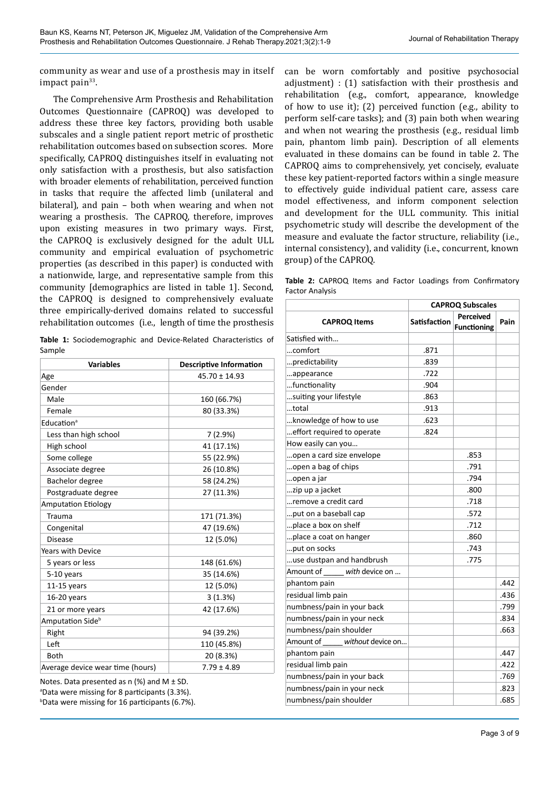community as wear and use of a prosthesis may in itself impact pain $33$ .

The Comprehensive Arm Prosthesis and Rehabilitation Outcomes Questionnaire (CAPROQ) was developed to address these three key factors, providing both usable subscales and a single patient report metric of prosthetic rehabilitation outcomes based on subsection scores. More specifically, CAPROQ distinguishes itself in evaluating not only satisfaction with a prosthesis, but also satisfaction with broader elements of rehabilitation, perceived function in tasks that require the affected limb (unilateral and bilateral), and pain – both when wearing and when not wearing a prosthesis. The CAPROQ, therefore, improves upon existing measures in two primary ways. First, the CAPROQ is exclusively designed for the adult ULL community and empirical evaluation of psychometric properties (as described in this paper) is conducted with a nationwide, large, and representative sample from this community [demographics are listed in table 1]. Second, the CAPROQ is designed to comprehensively evaluate three empirically-derived domains related to successful rehabilitation outcomes (i.e., length of time the prosthesis

**Table 1:** Sociodemographic and Device-Related Characteristics of Sample

| <b>Variables</b>                 | <b>Descriptive Information</b> |  |  |
|----------------------------------|--------------------------------|--|--|
| Age                              | $45.70 \pm 14.93$              |  |  |
| Gender                           |                                |  |  |
| Male                             | 160 (66.7%)                    |  |  |
| Female                           | 80 (33.3%)                     |  |  |
| Education <sup>a</sup>           |                                |  |  |
| Less than high school            | 7(2.9%)                        |  |  |
| High school                      | 41 (17.1%)                     |  |  |
| Some college                     | 55 (22.9%)                     |  |  |
| Associate degree                 | 26 (10.8%)                     |  |  |
| Bachelor degree                  | 58 (24.2%)                     |  |  |
| Postgraduate degree              | 27 (11.3%)                     |  |  |
| <b>Amputation Etiology</b>       |                                |  |  |
| Trauma                           | 171 (71.3%)                    |  |  |
| Congenital                       | 47 (19.6%)                     |  |  |
| <b>Disease</b>                   | 12 (5.0%)                      |  |  |
| <b>Years with Device</b>         |                                |  |  |
| 5 years or less                  | 148 (61.6%)                    |  |  |
| 5-10 years                       | 35 (14.6%)                     |  |  |
| $11-15$ years                    | 12 (5.0%)                      |  |  |
| $16-20$ years                    | 3(1.3%)                        |  |  |
| 21 or more years                 | 42 (17.6%)                     |  |  |
| Amputation Side <sup>b</sup>     |                                |  |  |
| Right                            | 94 (39.2%)                     |  |  |
| Left                             | 110 (45.8%)                    |  |  |
| <b>Both</b>                      | 20 (8.3%)                      |  |  |
| Average device wear time (hours) | $7.79 \pm 4.89$                |  |  |

Notes. Data presented as  $n$  (%) and M  $\pm$  SD. a Data were missing for 8 participants (3.3%). b Data were missing for 16 participants (6.7%). can be worn comfortably and positive psychosocial adjustment) : (1) satisfaction with their prosthesis and rehabilitation (e.g., comfort, appearance, knowledge of how to use it); (2) perceived function (e.g., ability to perform self-care tasks); and (3) pain both when wearing and when not wearing the prosthesis (e.g., residual limb pain, phantom limb pain). Description of all elements evaluated in these domains can be found in table 2. The CAPROQ aims to comprehensively, yet concisely, evaluate these key patient-reported factors within a single measure to effectively guide individual patient care, assess care model effectiveness, and inform component selection and development for the ULL community. This initial psychometric study will describe the development of the measure and evaluate the factor structure, reliability (i.e., internal consistency), and validity (i.e., concurrent, known group) of the CAPROQ.

**Table 2:** CAPROQ Items and Factor Loadings from Confirmatory Factor Analysis

|                                | <b>CAPROQ Subscales</b> |                                        |      |  |
|--------------------------------|-------------------------|----------------------------------------|------|--|
| <b>CAPROQ Items</b>            | <b>Satisfaction</b>     | <b>Perceived</b><br><b>Functioning</b> | Pain |  |
| Satisfied with                 |                         |                                        |      |  |
| comfort                        | .871                    |                                        |      |  |
| predictability                 | .839                    |                                        |      |  |
| appearance                     | .722                    |                                        |      |  |
| functionality                  | .904                    |                                        |      |  |
| suiting your lifestyle         | .863                    |                                        |      |  |
| total                          | .913                    |                                        |      |  |
| knowledge of how to use        | .623                    |                                        |      |  |
| effort required to operate     | .824                    |                                        |      |  |
| How easily can you             |                         |                                        |      |  |
| open a card size envelope      |                         | .853                                   |      |  |
| open a bag of chips            |                         | .791                                   |      |  |
| open a jar                     |                         | .794                                   |      |  |
| zip up a jacket                |                         | .800                                   |      |  |
| remove a credit card           |                         | .718                                   |      |  |
| put on a baseball cap          |                         | .572                                   |      |  |
| place a box on shelf           |                         | .712                                   |      |  |
| place a coat on hanger         |                         | .860                                   |      |  |
| put on socks                   |                         | .743                                   |      |  |
| use dustpan and handbrush      |                         | .775                                   |      |  |
| Amount of with device on       |                         |                                        |      |  |
| phantom pain                   |                         |                                        | .442 |  |
| residual limb pain             |                         |                                        | .436 |  |
| numbness/pain in your back     |                         |                                        | .799 |  |
| numbness/pain in your neck     |                         |                                        | .834 |  |
| numbness/pain shoulder         |                         |                                        | .663 |  |
| without device on<br>Amount of |                         |                                        |      |  |
| phantom pain                   |                         |                                        | .447 |  |
| residual limb pain             |                         |                                        | .422 |  |
| numbness/pain in your back     |                         |                                        | .769 |  |
| numbness/pain in your neck     |                         |                                        | .823 |  |
| numbness/pain shoulder         |                         |                                        | .685 |  |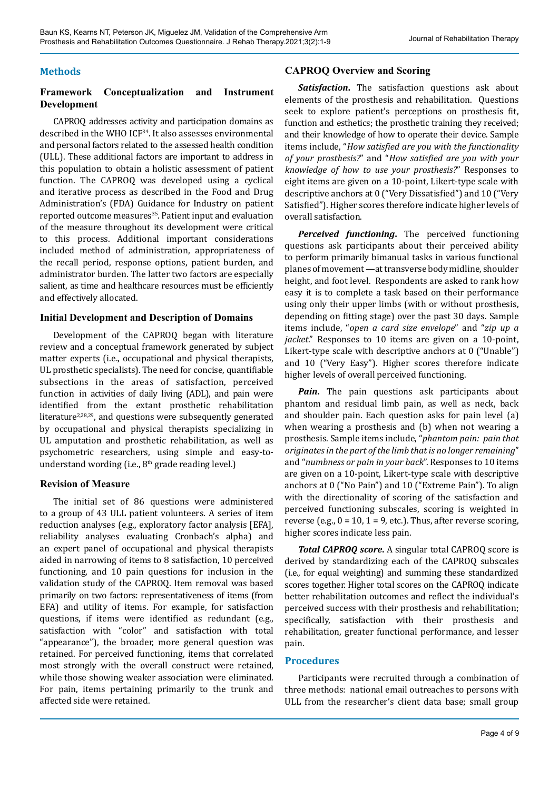### **Methods**

### **Framework Conceptualization and Instrument Development**

CAPROQ addresses activity and participation domains as described in the WHO ICF34. It also assesses environmental and personal factors related to the assessed health condition (ULL). These additional factors are important to address in this population to obtain a holistic assessment of patient function. The CAPROQ was developed using a cyclical and iterative process as described in the Food and Drug Administration's (FDA) Guidance for Industry on patient reported outcome measures<sup>35</sup>. Patient input and evaluation of the measure throughout its development were critical to this process. Additional important considerations included method of administration, appropriateness of the recall period, response options, patient burden, and administrator burden. The latter two factors are especially salient, as time and healthcare resources must be efficiently and effectively allocated.

#### **Initial Development and Description of Domains**

Development of the CAPROQ began with literature review and a conceptual framework generated by subject matter experts (i.e., occupational and physical therapists, UL prosthetic specialists). The need for concise, quantifiable subsections in the areas of satisfaction, perceived function in activities of daily living (ADL), and pain were identified from the extant prosthetic rehabilitation literature<sup>2,28,29</sup>, and questions were subsequently generated by occupational and physical therapists specializing in UL amputation and prosthetic rehabilitation, as well as psychometric researchers, using simple and easy-tounderstand wording (i.e., 8<sup>th</sup> grade reading level.)

#### **Revision of Measure**

The initial set of 86 questions were administered to a group of 43 ULL patient volunteers. A series of item reduction analyses (e.g., exploratory factor analysis [EFA], reliability analyses evaluating Cronbach's alpha) and an expert panel of occupational and physical therapists aided in narrowing of items to 8 satisfaction, 10 perceived functioning, and 10 pain questions for inclusion in the validation study of the CAPROQ. Item removal was based primarily on two factors: representativeness of items (from EFA) and utility of items. For example, for satisfaction questions, if items were identified as redundant (e.g., satisfaction with "color" and satisfaction with total "appearance"), the broader, more general question was retained. For perceived functioning, items that correlated most strongly with the overall construct were retained, while those showing weaker association were eliminated. For pain, items pertaining primarily to the trunk and affected side were retained.

## **CAPROQ Overview and Scoring**

*Satisfaction***.** The satisfaction questions ask about elements of the prosthesis and rehabilitation. Questions seek to explore patient's perceptions on prosthesis fit, function and esthetics; the prosthetic training they received; and their knowledge of how to operate their device. Sample items include, "*How satisfied are you with the functionality of your prosthesis?*" and "*How satisfied are you with your knowledge of how to use your prosthesis?*" Responses to eight items are given on a 10-point, Likert-type scale with descriptive anchors at 0 ("Very Dissatisfied") and 10 ("Very Satisfied"). Higher scores therefore indicate higher levels of overall satisfaction.

*Perceived functioning***.** The perceived functioning questions ask participants about their perceived ability to perform primarily bimanual tasks in various functional planes of movement —at transverse body midline, shoulder height, and foot level. Respondents are asked to rank how easy it is to complete a task based on their performance using only their upper limbs (with or without prosthesis, depending on fitting stage) over the past 30 days. Sample items include, "*open a card size envelope*" and "*zip up a jacket*." Responses to 10 items are given on a 10-point, Likert-type scale with descriptive anchors at 0 ("Unable") and 10 ("Very Easy"). Higher scores therefore indicate higher levels of overall perceived functioning.

*Pain*. The pain questions ask participants about phantom and residual limb pain, as well as neck, back and shoulder pain. Each question asks for pain level (a) when wearing a prosthesis and (b) when not wearing a prosthesis. Sample items include, "*phantom pain: pain that originates in the part of the limb that is no longer remaining*" and "*numbness or pain in your back*". Responses to 10 items are given on a 10-point, Likert-type scale with descriptive anchors at 0 ("No Pain") and 10 ("Extreme Pain"). To align with the directionality of scoring of the satisfaction and perceived functioning subscales, scoring is weighted in reverse (e.g.,  $0 = 10$ ,  $1 = 9$ , etc.). Thus, after reverse scoring, higher scores indicate less pain.

*Total CAPROQ score***.** A singular total CAPROQ score is derived by standardizing each of the CAPROQ subscales (i.e., for equal weighting) and summing these standardized scores together. Higher total scores on the CAPROQ indicate better rehabilitation outcomes and reflect the individual's perceived success with their prosthesis and rehabilitation; specifically, satisfaction with their prosthesis and rehabilitation, greater functional performance, and lesser pain.

#### **Procedures**

Participants were recruited through a combination of three methods: national email outreaches to persons with ULL from the researcher's client data base; small group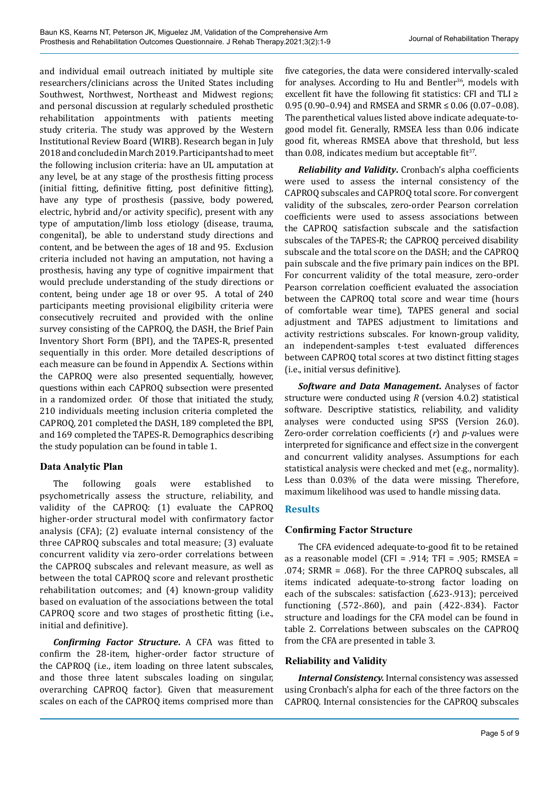and individual email outreach initiated by multiple site researchers/clinicians across the United States including Southwest, Northwest, Northeast and Midwest regions; and personal discussion at regularly scheduled prosthetic rehabilitation appointments with patients meeting study criteria. The study was approved by the Western Institutional Review Board (WIRB). Research began in July 2018 and concluded in March 2019. Participants had to meet the following inclusion criteria: have an UL amputation at any level, be at any stage of the prosthesis fitting process (initial fitting, definitive fitting, post definitive fitting), have any type of prosthesis (passive, body powered, electric, hybrid and/or activity specific), present with any type of amputation/limb loss etiology (disease, trauma, congenital), be able to understand study directions and content, and be between the ages of 18 and 95. Exclusion criteria included not having an amputation, not having a prosthesis, having any type of cognitive impairment that would preclude understanding of the study directions or content, being under age 18 or over 95. A total of 240 participants meeting provisional eligibility criteria were consecutively recruited and provided with the online survey consisting of the CAPROQ, the DASH, the Brief Pain Inventory Short Form (BPI), and the TAPES-R, presented sequentially in this order. More detailed descriptions of each measure can be found in Appendix A. Sections within the CAPROQ were also presented sequentially, however, questions within each CAPROQ subsection were presented in a randomized order. Of those that initiated the study, 210 individuals meeting inclusion criteria completed the CAPROQ, 201 completed the DASH, 189 completed the BPI, and 169 completed the TAPES-R. Demographics describing the study population can be found in table 1.

# **Data Analytic Plan**

The following goals were established to psychometrically assess the structure, reliability, and validity of the CAPROQ: (1) evaluate the CAPROQ higher-order structural model with confirmatory factor analysis (CFA); (2) evaluate internal consistency of the three CAPROQ subscales and total measure; (3) evaluate concurrent validity via zero-order correlations between the CAPROQ subscales and relevant measure, as well as between the total CAPROQ score and relevant prosthetic rehabilitation outcomes; and (4) known-group validity based on evaluation of the associations between the total CAPROQ score and two stages of prosthetic fitting (i.e., initial and definitive).

*Confirming Factor Structure***.** A CFA was fitted to confirm the 28-item, higher-order factor structure of the CAPROQ (i.e., item loading on three latent subscales, and those three latent subscales loading on singular, overarching CAPROQ factor). Given that measurement scales on each of the CAPROQ items comprised more than

five categories, the data were considered intervally-scaled for analyses. According to Hu and Bentler<sup>36</sup>, models with excellent fit have the following fit statistics: CFI and TLI ≥ 0.95 (0.90–0.94) and RMSEA and SRMR  $\leq$  0.06 (0.07–0.08). The parenthetical values listed above indicate adequate-togood model fit. Generally, RMSEA less than 0.06 indicate good fit, whereas RMSEA above that threshold, but less than 0.08, indicates medium but acceptable fit $37$ .

*Reliability and Validity***.** Cronbach's alpha coefficients were used to assess the internal consistency of the CAPROQ subscales and CAPROQ total score. For convergent validity of the subscales, zero-order Pearson correlation coefficients were used to assess associations between the CAPROQ satisfaction subscale and the satisfaction subscales of the TAPES-R; the CAPROQ perceived disability subscale and the total score on the DASH; and the CAPROQ pain subscale and the five primary pain indices on the BPI. For concurrent validity of the total measure, zero-order Pearson correlation coefficient evaluated the association between the CAPROQ total score and wear time (hours of comfortable wear time), TAPES general and social adjustment and TAPES adjustment to limitations and activity restrictions subscales. For known-group validity, an independent-samples t-test evaluated differences between CAPROQ total scores at two distinct fitting stages (i.e., initial versus definitive).

*Software and Data Management***.** Analyses of factor structure were conducted using *R* (version 4.0.2) statistical software. Descriptive statistics, reliability, and validity analyses were conducted using SPSS (Version 26.0). Zero-order correlation coefficients (*r*) and *p*-values were interpreted for significance and effect size in the convergent and concurrent validity analyses. Assumptions for each statistical analysis were checked and met (e.g., normality). Less than 0.03% of the data were missing. Therefore, maximum likelihood was used to handle missing data.

# **Results**

# **Confirming Factor Structure**

The CFA evidenced adequate-to-good fit to be retained as a reasonable model (CFI = .914; TFI = .905; RMSEA = .074; SRMR = .068). For the three CAPROQ subscales, all items indicated adequate-to-strong factor loading on each of the subscales: satisfaction (.623-.913); perceived functioning (.572-.860), and pain (.422-.834). Factor structure and loadings for the CFA model can be found in table 2. Correlations between subscales on the CAPROQ from the CFA are presented in table 3.

# **Reliability and Validity**

*Internal Consistency.* Internal consistency was assessed using Cronbach's alpha for each of the three factors on the CAPROQ. Internal consistencies for the CAPROQ subscales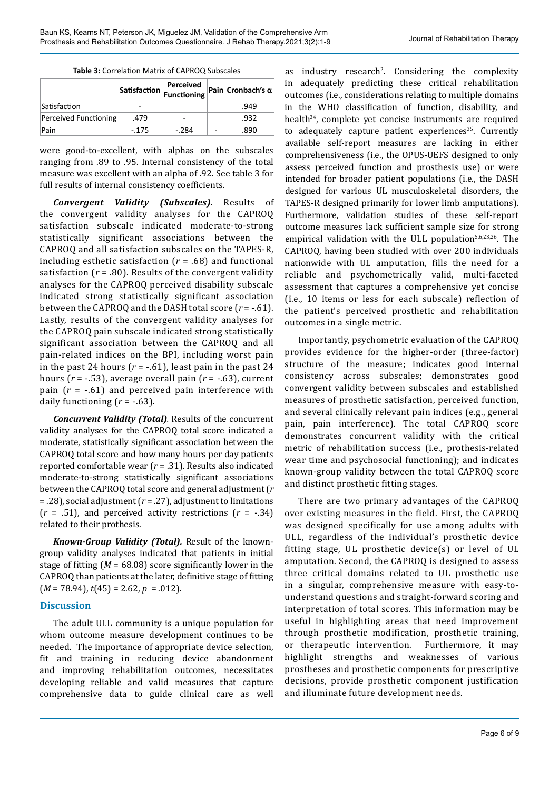|                       |        | Perceived<br>$ \textsf{Satisfactor} $ Functioning |   | Pain Cronbach's $\alpha$ |
|-----------------------|--------|---------------------------------------------------|---|--------------------------|
| Satisfaction          |        |                                                   |   | .949                     |
| Perceived Functioning | .479   | -                                                 |   | .932                     |
| Pain                  | $-175$ | $-.284$                                           | ٠ | .890                     |

were good-to-excellent, with alphas on the subscales ranging from .89 to .95. Internal consistency of the total measure was excellent with an alpha of .92. See table 3 for full results of internal consistency coefficients.

*Convergent Validity (Subscales).* Results of the convergent validity analyses for the CAPROQ satisfaction subscale indicated moderate-to-strong statistically significant associations between the CAPROQ and all satisfaction subscales on the TAPES-R, including esthetic satisfaction (*r* = .68) and functional satisfaction  $(r = .80)$ . Results of the convergent validity analyses for the CAPROQ perceived disability subscale indicated strong statistically significant association between the CAPROQ and the DASH total score (*r* = -.61). Lastly, results of the convergent validity analyses for the CAPROQ pain subscale indicated strong statistically significant association between the CAPROQ and all pain-related indices on the BPI, including worst pain in the past 24 hours  $(r = -.61)$ , least pain in the past 24 hours (*r* = -.53), average overall pain (*r* = -.63), current pain  $(r = -.61)$  and perceived pain interference with daily functioning  $(r = -.63)$ .

*Concurrent Validity (Total).* Results of the concurrent validity analyses for the CAPROQ total score indicated a moderate, statistically significant association between the CAPROQ total score and how many hours per day patients reported comfortable wear (*r* = .31). Results also indicated moderate-to-strong statistically significant associations between the CAPROQ total score and general adjustment (*r*  = .28), social adjustment (*r* = .27), adjustment to limitations (*r* = .51), and perceived activity restrictions (*r* = -.34) related to their prothesis.

*Known-Group Validity (Total).* Result of the knowngroup validity analyses indicated that patients in initial stage of fitting (*M* = 68.08) score significantly lower in the CAPROQ than patients at the later, definitive stage of fitting (*M* = 78.94), *t*(45) = 2.62, *p* = .012).

#### **Discussion**

The adult ULL community is a unique population for whom outcome measure development continues to be needed. The importance of appropriate device selection, fit and training in reducing device abandonment and improving rehabilitation outcomes, necessitates developing reliable and valid measures that capture comprehensive data to guide clinical care as well

as industry research<sup>2</sup>. Considering the complexity in adequately predicting these critical rehabilitation outcomes (i.e., considerations relating to multiple domains in the WHO classification of function, disability, and health<sup>34</sup>, complete yet concise instruments are required to adequately capture patient experiences<sup>35</sup>. Currently available self-report measures are lacking in either comprehensiveness (i.e., the OPUS-UEFS designed to only assess perceived function and prosthesis use) or were intended for broader patient populations (i.e., the DASH designed for various UL musculoskeletal disorders, the TAPES-R designed primarily for lower limb amputations). Furthermore, validation studies of these self-report outcome measures lack sufficient sample size for strong empirical validation with the ULL population<sup>5,6,23,26</sup>. The CAPROQ, having been studied with over 200 individuals nationwide with UL amputation, fills the need for a reliable and psychometrically valid, multi-faceted assessment that captures a comprehensive yet concise (i.e., 10 items or less for each subscale) reflection of the patient's perceived prosthetic and rehabilitation outcomes in a single metric.

Importantly, psychometric evaluation of the CAPROQ provides evidence for the higher-order (three-factor) structure of the measure; indicates good internal consistency across subscales; demonstrates good convergent validity between subscales and established measures of prosthetic satisfaction, perceived function, and several clinically relevant pain indices (e.g., general pain, pain interference). The total CAPROQ score demonstrates concurrent validity with the critical metric of rehabilitation success (i.e., prothesis-related wear time and psychosocial functioning); and indicates known-group validity between the total CAPROQ score and distinct prosthetic fitting stages.

There are two primary advantages of the CAPROQ over existing measures in the field. First, the CAPROQ was designed specifically for use among adults with ULL, regardless of the individual's prosthetic device fitting stage, UL prosthetic device(s) or level of UL amputation. Second, the CAPROQ is designed to assess three critical domains related to UL prosthetic use in a singular, comprehensive measure with easy-tounderstand questions and straight-forward scoring and interpretation of total scores. This information may be useful in highlighting areas that need improvement through prosthetic modification, prosthetic training, or therapeutic intervention. Furthermore, it may highlight strengths and weaknesses of various prostheses and prosthetic components for prescriptive decisions, provide prosthetic component justification and illuminate future development needs.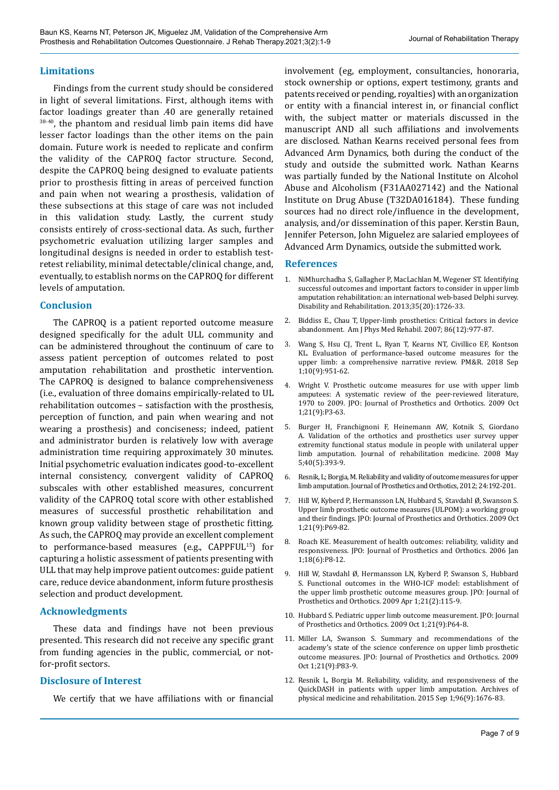#### **Limitations**

Findings from the current study should be considered in light of several limitations. First, although items with factor loadings greater than .40 are generally retained  $38-40$ , the phantom and residual limb pain items did have lesser factor loadings than the other items on the pain domain. Future work is needed to replicate and confirm the validity of the CAPROQ factor structure. Second, despite the CAPROQ being designed to evaluate patients prior to prosthesis fitting in areas of perceived function and pain when not wearing a prosthesis, validation of these subsections at this stage of care was not included in this validation study. Lastly, the current study consists entirely of cross-sectional data. As such, further psychometric evaluation utilizing larger samples and longitudinal designs is needed in order to establish testretest reliability, minimal detectable/clinical change, and, eventually, to establish norms on the CAPROQ for different levels of amputation.

#### **Conclusion**

The CAPROQ is a patient reported outcome measure designed specifically for the adult ULL community and can be administered throughout the continuum of care to assess patient perception of outcomes related to post amputation rehabilitation and prosthetic intervention. The CAPROQ is designed to balance comprehensiveness (i.e., evaluation of three domains empirically-related to UL rehabilitation outcomes – satisfaction with the prosthesis, perception of function, and pain when wearing and not wearing a prosthesis) and conciseness; indeed, patient and administrator burden is relatively low with average administration time requiring approximately 30 minutes. Initial psychometric evaluation indicates good-to-excellent internal consistency, convergent validity of CAPROQ subscales with other established measures, concurrent validity of the CAPROQ total score with other established measures of successful prosthetic rehabilitation and known group validity between stage of prosthetic fitting. As such, the CAPROQ may provide an excellent complement to performance-based measures (e.g., CAPPFUL15) for capturing a holistic assessment of patients presenting with ULL that may help improve patient outcomes: guide patient care, reduce device abandonment, inform future prosthesis selection and product development.

#### **Acknowledgments**

These data and findings have not been previous presented. This research did not receive any specific grant from funding agencies in the public, commercial, or notfor-profit sectors.

#### **Disclosure of Interest**

We certify that we have affiliations with or financial

involvement (eg, employment, consultancies, honoraria, stock ownership or options, expert testimony, grants and patents received or pending, royalties) with an organization or entity with a financial interest in, or financial conflict with, the subject matter or materials discussed in the manuscript AND all such affiliations and involvements are disclosed. Nathan Kearns received personal fees from Advanced Arm Dynamics, both during the conduct of the study and outside the submitted work. Nathan Kearns was partially funded by the National Institute on Alcohol Abuse and Alcoholism (F31AA027142) and the National Institute on Drug Abuse (T32DA016184). These funding sources had no direct role/influence in the development, analysis, and/or dissemination of this paper. Kerstin Baun, Jennifer Peterson, John Miguelez are salaried employees of Advanced Arm Dynamics, outside the submitted work.

#### **References**

- 1. NiMhurchadha S, Gallagher P, MacLachlan M, Wegener ST. Identifying successful outcomes and important factors to consider in upper limb amputation rehabilitation: an international web-based Delphi survey. Disability and Rehabilitation. 2013;35(20):1726-33.
- 2. Biddiss E., Chau T, Upper-limb prosthetics: Critical factors in device abandonment. Am J Phys Med Rehabil. 2007; 86(12):977-87.
- 3. Wang S, Hsu CJ, Trent L, Ryan T, Kearns NT, Civillico EF, Kontson KL. Evaluation of performance-based outcome measures for the upper limb: a comprehensive narrative review. PM&R. 2018 Sep 1;10(9):951-62.
- 4. Wright V. Prosthetic outcome measures for use with upper limb amputees: A systematic review of the peer-reviewed literature, 1970 to 2009. JPO: Journal of Prosthetics and Orthotics. 2009 Oct 1;21(9):P3-63.
- 5. Burger H, Franchignoni F, Heinemann AW, Kotnik S, Giordano A. Validation of the orthotics and prosthetics user survey upper extremity functional status module in people with unilateral upper limb amputation. Journal of rehabilitation medicine. 2008 May 5;40(5):393-9.
- 6. Resnik, L; Borgia, M. Reliability and validity of outcome measures for upper limb amputation. Journal of Prosthetics and Orthotics, 2012; 24:192-201.
- 7. Hill W, Kyberd P, Hermansson LN, Hubbard S, Stavdahl Ø, Swanson S. Upper limb prosthetic outcome measures (ULPOM): a working group and their findings. JPO: Journal of Prosthetics and Orthotics. 2009 Oct 1;21(9):P69-82.
- 8. Roach KE. Measurement of health outcomes: reliability, validity and responsiveness. JPO: Journal of Prosthetics and Orthotics. 2006 Jan 1;18(6):P8-12.
- 9. Hill W, Stavdahl Ø, Hermansson LN, Kyberd P, Swanson S, Hubbard S. Functional outcomes in the WHO-ICF model: establishment of the upper limb prosthetic outcome measures group. JPO: Journal of Prosthetics and Orthotics. 2009 Apr 1;21(2):115-9.
- 10. Hubbard S. Pediatric upper limb outcome measurement. JPO: Journal of Prosthetics and Orthotics. 2009 Oct 1;21(9):P64-8.
- 11. Miller LA, Swanson S. Summary and recommendations of the academy's state of the science conference on upper limb prosthetic outcome measures. JPO: Journal of Prosthetics and Orthotics. 2009 Oct 1;21(9):P83-9.
- 12. Resnik L, Borgia M. Reliability, validity, and responsiveness of the QuickDASH in patients with upper limb amputation. Archives of physical medicine and rehabilitation. 2015 Sep 1;96(9):1676-83.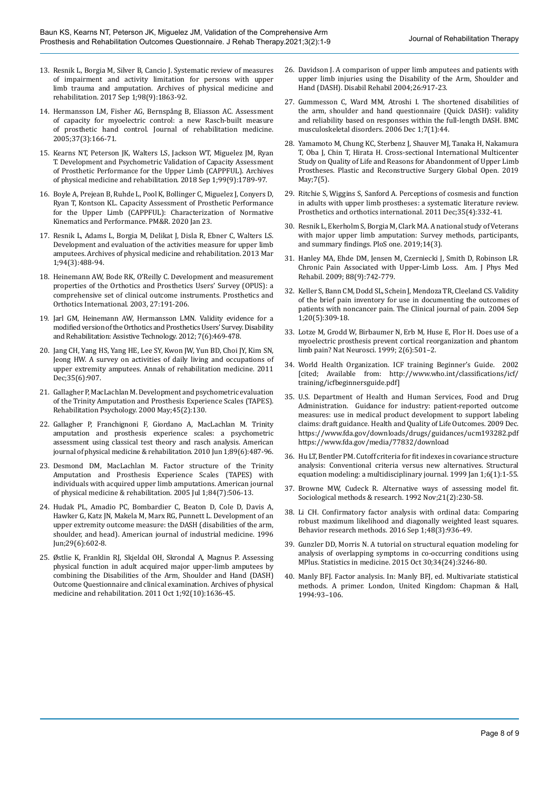- 13. Resnik L, Borgia M, Silver B, Cancio J. Systematic review of measures of impairment and activity limitation for persons with upper limb trauma and amputation. Archives of physical medicine and rehabilitation. 2017 Sep 1;98(9):1863-92.
- 14. Hermansson LM, Fisher AG, Bernspång B, Eliasson AC. Assessment of capacity for myoelectric control: a new Rasch-built measure of prosthetic hand control. Journal of rehabilitation medicine. 2005;37(3):166-71.
- 15. Kearns NT, Peterson JK, Walters LS, Jackson WT, Miguelez JM, Ryan T. Development and Psychometric Validation of Capacity Assessment of Prosthetic Performance for the Upper Limb (CAPPFUL). Archives of physical medicine and rehabilitation. 2018 Sep 1;99(9):1789-97.
- 16. Boyle A, Prejean B, Ruhde L, Pool K, Bollinger C, Miguelez J, Conyers D, Ryan T, Kontson KL. Capacity Assessment of Prosthetic Performance for the Upper Limb (CAPPFUL): Characterization of Normative Kinematics and Performance. PM&R. 2020 Jan 23.
- 17. Resnik L, Adams L, Borgia M, Delikat J, Disla R, Ebner C, Walters LS. Development and evaluation of the activities measure for upper limb amputees. Archives of physical medicine and rehabilitation. 2013 Mar 1;94(3):488-94.
- 18. Heinemann AW, Bode RK, O'Reilly C. Development and measurement properties of the Orthotics and Prosthetics Users' Survey (OPUS): a comprehensive set of clinical outcome instruments. Prosthetics and Orthotics International. 2003, 27:191-206.
- 19. Jarl GM, Heinemann AW, Hermansson LMN. Validity evidence for a modified version of the Orthotics and Prosthetics Users' Survey. Disability and Rehabilitation: Assistive Technology. 2012; 7(6):469-478.
- 20. Jang CH, Yang HS, Yang HE, Lee SY, Kwon JW, Yun BD, Choi JY, Kim SN, Jeong HW. A survey on activities of daily living and occupations of upper extremity amputees. Annals of rehabilitation medicine. 2011 Dec;35(6):907.
- 21. Gallagher P, MacLachlan M. Development and psychometric evaluation of the Trinity Amputation and Prosthesis Experience Scales (TAPES). Rehabilitation Psychology. 2000 May;45(2):130.
- 22. Gallagher P, Franchignoni F, Giordano A, MacLachlan M. Trinity amputation and prosthesis experience scales: a psychometric assessment using classical test theory and rasch analysis. American journal of physical medicine & rehabilitation. 2010 Jun 1;89(6):487-96.
- 23. Desmond DM, MacLachlan M. Factor structure of the Trinity Amputation and Prosthesis Experience Scales (TAPES) with individuals with acquired upper limb amputations. American journal of physical medicine & rehabilitation. 2005 Jul 1;84(7):506-13.
- 24. Hudak PL, Amadio PC, Bombardier C, Beaton D, Cole D, Davis A, Hawker G, Katz JN, Makela M, Marx RG, Punnett L. Development of an upper extremity outcome measure: the DASH (disabilities of the arm, shoulder, and head). American journal of industrial medicine. 1996 Jun;29(6):602-8.
- 25. Østlie K, Franklin RJ, Skjeldal OH, Skrondal A, Magnus P. Assessing physical function in adult acquired major upper-limb amputees by combining the Disabilities of the Arm, Shoulder and Hand (DASH) Outcome Questionnaire and clinical examination. Archives of physical medicine and rehabilitation. 2011 Oct 1;92(10):1636-45.
- 26. Davidson J. A comparison of upper limb amputees and patients with upper limb injuries using the Disability of the Arm, Shoulder and Hand (DASH). Disabil Rehabil 2004;26:917-23.
- 27. Gummesson C, Ward MM, Atroshi I. The shortened disabilities of the arm, shoulder and hand questionnaire (Quick DASH): validity and reliability based on responses within the full-length DASH. BMC musculoskeletal disorders. 2006 Dec 1;7(1):44.
- 28. Yamamoto M, Chung KC, Sterbenz J, Shauver MJ, Tanaka H, Nakamura T, Oba J, Chin T, Hirata H. Cross-sectional International Multicenter Study on Quality of Life and Reasons for Abandonment of Upper Limb Prostheses. Plastic and Reconstructive Surgery Global Open. 2019 May;7(5).
- 29. Ritchie S, Wiggins S, Sanford A. Perceptions of cosmesis and function in adults with upper limb prostheses: a systematic literature review. Prosthetics and orthotics international. 2011 Dec;35(4):332-41.
- 30. Resnik L, Ekerholm S, Borgia M, Clark MA. A national study of Veterans with major upper limb amputation: Survey methods, participants, and summary findings. PloS one. 2019;14(3).
- 31. Hanley MA, Ehde DM, Jensen M, Czerniecki J, Smith D, Robinson LR. Chronic Pain Associated with Upper-Limb Loss. Am. J Phys Med Rehabil. 2009; 88(9):742-779.
- 32. Keller S, Bann CM, Dodd SL, Schein J, Mendoza TR, Cleeland CS. Validity of the brief pain inventory for use in documenting the outcomes of patients with noncancer pain. The Clinical journal of pain. 2004 Sep 1;20(5):309-18.
- 33. Lotze M, Grodd W, Birbaumer N, Erb M, Huse E, Flor H. Does use of a myoelectric prosthesis prevent cortical reorganization and phantom limb pain? Nat Neurosci. 1999; 2(6):501–2.
- 34. World Health Organization. ICF training Beginner's Guide. 2002 [cited; Available from: [http://www.who.int/classifications/icf/](http://www.who.int/classifications/icf/training/icfbeginnersguide.pdf) [training/icfbeginnersguide.pdf\]](http://www.who.int/classifications/icf/training/icfbeginnersguide.pdf)
- 35. U.S. Department of Health and Human Services, Food and Drug Administration. Guidance for industry: patient-reported outcome measures: use in medical product development to support labeling claims: draft guidance. Health and Quality of Life Outcomes. 2009 Dec. <https://www.fda.gov/downloads/drugs/guidances/ucm193282.pdf> <https://www.fda.gov/media/77832/download>
- 36. Hu LT, Bentler PM. Cutoff criteria for fit indexes in covariance structure analysis: Conventional criteria versus new alternatives. Structural equation modeling: a multidisciplinary journal. 1999 Jan 1;6(1):1-55.
- 37. Browne MW, Cudeck R. Alternative ways of assessing model fit. Sociological methods & research. 1992 Nov;21(2):230-58.
- 38. Li CH. Confirmatory factor analysis with ordinal data: Comparing robust maximum likelihood and diagonally weighted least squares. Behavior research methods. 2016 Sep 1;48(3):936-49.
- 39. Gunzler DD, Morris N. A tutorial on structural equation modeling for analysis of overlapping symptoms in co-occurring conditions using MPlus. Statistics in medicine. 2015 Oct 30;34(24):3246-80.
- 40. Manly BFJ. Factor analysis. In: Manly BFJ, ed. Multivariate statistical methods. A primer. London, United Kingdom: Chapman & Hall, 1994:93–106.